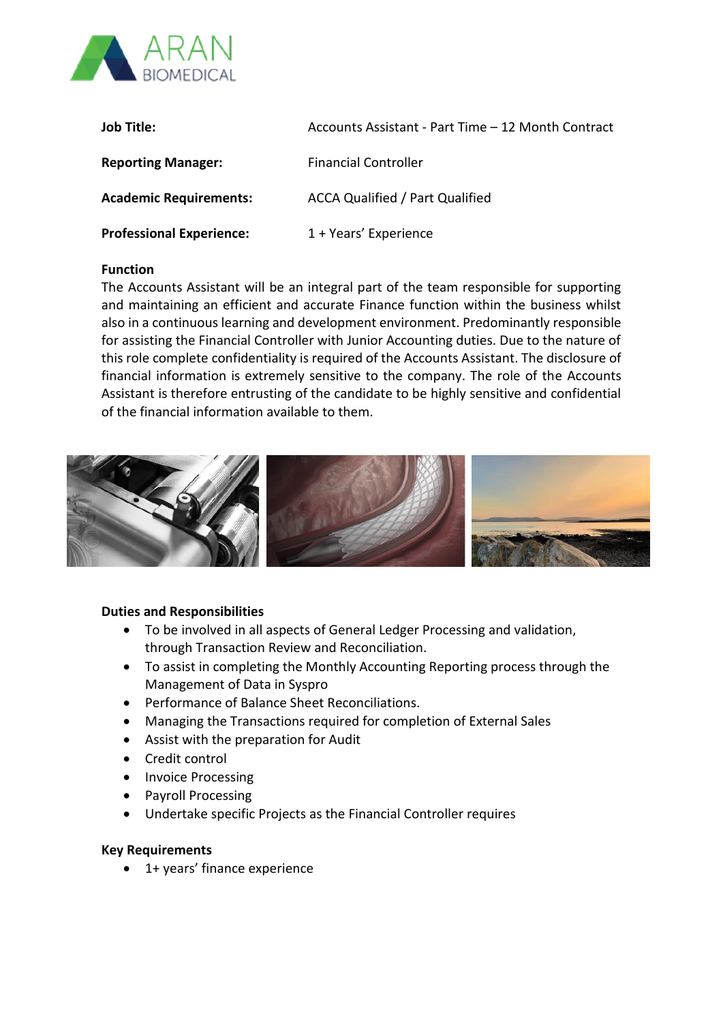

| Job Title:                      | Accounts Assistant - Part Time - 12 Month Contract |
|---------------------------------|----------------------------------------------------|
| <b>Reporting Manager:</b>       | <b>Financial Controller</b>                        |
| <b>Academic Requirements:</b>   | <b>ACCA Qualified / Part Qualified</b>             |
| <b>Professional Experience:</b> | 1 + Years' Experience                              |

## **Function**

The Accounts Assistant will be an integral part of the team responsible for supporting and maintaining an efficient and accurate Finance function within the business whilst also in a continuous learning and development environment. Predominantly responsible for assisting the Financial Controller with Junior Accounting duties. Due to the nature of this role complete confidentiality is required of the Accounts Assistant. The disclosure of financial information is extremely sensitive to the company. The role of the Accounts Assistant is therefore entrusting of the candidate to be highly sensitive and confidential of the financial information available to them.



## **Duties and Responsibilities**

- To be involved in all aspects of General Ledger Processing and validation, through Transaction Review and Reconciliation.
- To assist in completing the Monthly Accounting Reporting process through the Management of Data in Syspro
- Performance of Balance Sheet Reconciliations.
- Managing the Transactions required for completion of External Sales
- Assist with the preparation for Audit
- Credit control
- Invoice Processing
- Payroll Processing
- Undertake specific Projects as the Financial Controller requires

## **Key Requirements**

• 1+ years' finance experience